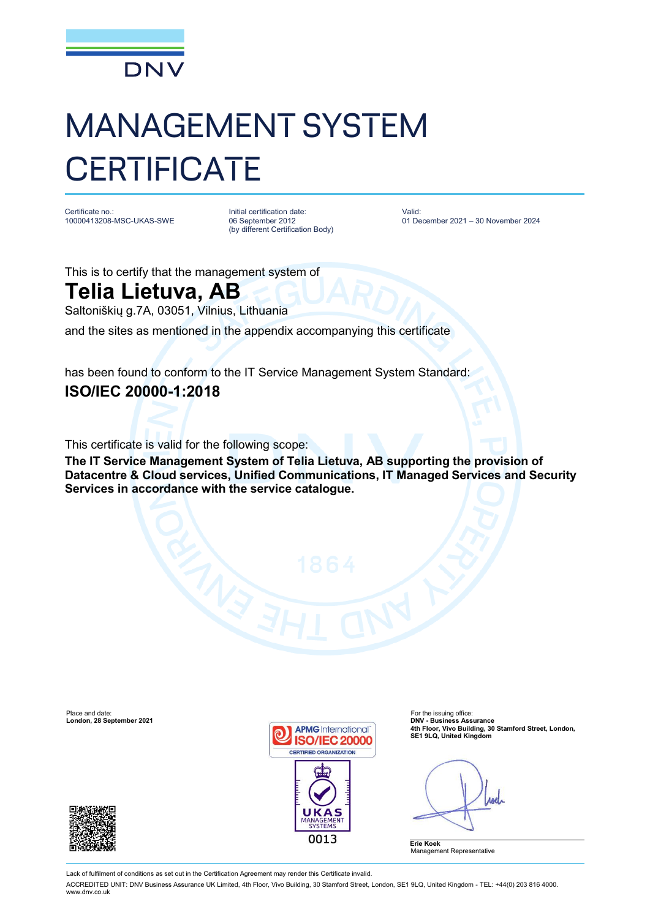

## MANAGEMENT SYSTEM **CERTIFICATE**

Certificate no.: 10000413208-MSC-UKAS-SWE Initial certification date: 06 September 2012 (by different Certification Body) Valid: 01 December 2021 – 30 November 2024

This is to certify that the management system of

## **Telia Lietuva, AB**

Saltoniškių g.7A, 03051, Vilnius, Lithuania

and the sites as mentioned in the appendix accompanying this certificate

has been found to conform to the IT Service Management System Standard: **ISO/IEC 20000-1:2018**

This certificate is valid for the following scope:

**The IT Service Management System of Telia Lietuva, AB supporting the provision of Datacentre & Cloud services, Unified Communications, IT Managed Services and Security Services in accordance with the service catalogue.**

Place and date:<br> **Place and date:** For the issuing office:<br> **Condon. 28 September 2021** 





**4th Floor, Vivo Building, 30 Stamford Street, London, SE1 9LQ, United Kingdom**

**Anel** 

**Erie Koek** Management Representative

Lack of fulfilment of conditions as set out in the Certification Agreement may render this Certificate invalid.

ACCREDITED UNIT: DNV Business Assurance UK Limited, 4th Floor, Vivo Building, 30 Stamford Street, London, SE1 9LQ, United Kingdom - TEL: +44(0) 203 816 4000. [www.dnv.co.uk](http://www.dnv.co.uk)